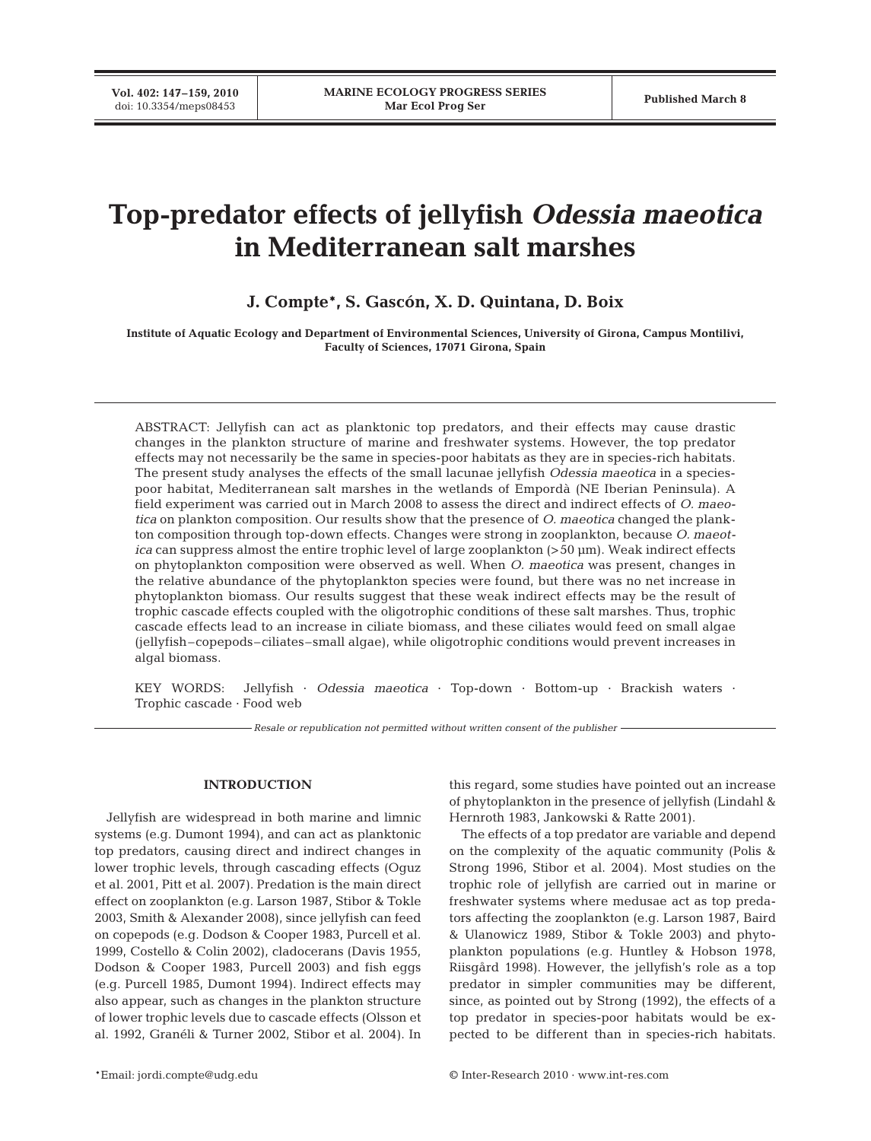**Vol. 402: 147–159, 2010**

# **Top-predator effects of jellyfish** *Odessia maeotica* **in Mediterranean salt marshes**

## **J. Compte\*, S. Gascón, X. D. Quintana, D. Boix**

**Institute of Aquatic Ecology and Department of Environmental Sciences, University of Girona, Campus Montilivi, Faculty of Sciences, 17071 Girona, Spain**

ABSTRACT: Jellyfish can act as planktonic top predators, and their effects may cause drastic changes in the plankton structure of marine and freshwater systems. However, the top predator effects may not necessarily be the same in species-poor habitats as they are in species-rich habitats. The present study analyses the effects of the small lacunae jellyfish *Odessia maeotica* in a speciespoor habitat, Mediterranean salt marshes in the wetlands of Empordà (NE Iberian Peninsula). A field experiment was carried out in March 2008 to assess the direct and indirect effects of *O. maeotica* on plankton composition. Our results show that the presence of *O. maeotica* changed the plankton composition through top-down effects. Changes were strong in zooplankton, because *O. maeotica* can suppress almost the entire trophic level of large zooplankton (>50 µm). Weak indirect effects on phytoplankton composition were observed as well. When *O. maeotica* was present, changes in the relative abundance of the phytoplankton species were found, but there was no net increase in phytoplankton biomass. Our results suggest that these weak indirect effects may be the result of trophic cascade effects coupled with the oligotrophic conditions of these salt marshes. Thus, trophic cascade effects lead to an increase in ciliate biomass, and these ciliates would feed on small algae (jellyfish–copepods–ciliates–small algae), while oligotrophic conditions would prevent increases in algal biomass.

KEY WORDS: Jellyfish · *Odessia maeotica* · Top-down · Bottom-up · Brackish waters · Trophic cascade · Food web

*Resale or republication not permitted without written consent of the publisher*

## **INTRODUCTION**

Jellyfish are widespread in both marine and limnic systems (e.g. Dumont 1994), and can act as planktonic top predators, causing direct and indirect changes in lower trophic levels, through cascading effects (Oguz et al. 2001, Pitt et al. 2007). Predation is the main direct effect on zooplankton (e.g. Larson 1987, Stibor & Tokle 2003, Smith & Alexander 2008), since jellyfish can feed on copepods (e.g. Dodson & Cooper 1983, Purcell et al. 1999, Costello & Colin 2002), cladocerans (Davis 1955, Dodson & Cooper 1983, Purcell 2003) and fish eggs (e.g. Purcell 1985, Dumont 1994). Indirect effects may also appear, such as changes in the plankton structure of lower trophic levels due to cascade effects (Olsson et al. 1992, Granéli & Turner 2002, Stibor et al. 2004). In

this regard, some studies have pointed out an increase of phytoplankton in the presence of jellyfish (Lindahl & Hernroth 1983, Jankowski & Ratte 2001).

The effects of a top predator are variable and depend on the complexity of the aquatic community (Polis & Strong 1996, Stibor et al. 2004). Most studies on the trophic role of jellyfish are carried out in marine or freshwater systems where medusae act as top predators affecting the zooplankton (e.g. Larson 1987, Baird & Ulanowicz 1989, Stibor & Tokle 2003) and phytoplankton populations (e.g. Huntley & Hobson 1978, Riisgård 1998). However, the jellyfish's role as a top predator in simpler communities may be different, since, as pointed out by Strong (1992), the effects of a top predator in species-poor habitats would be expected to be different than in species-rich habitats.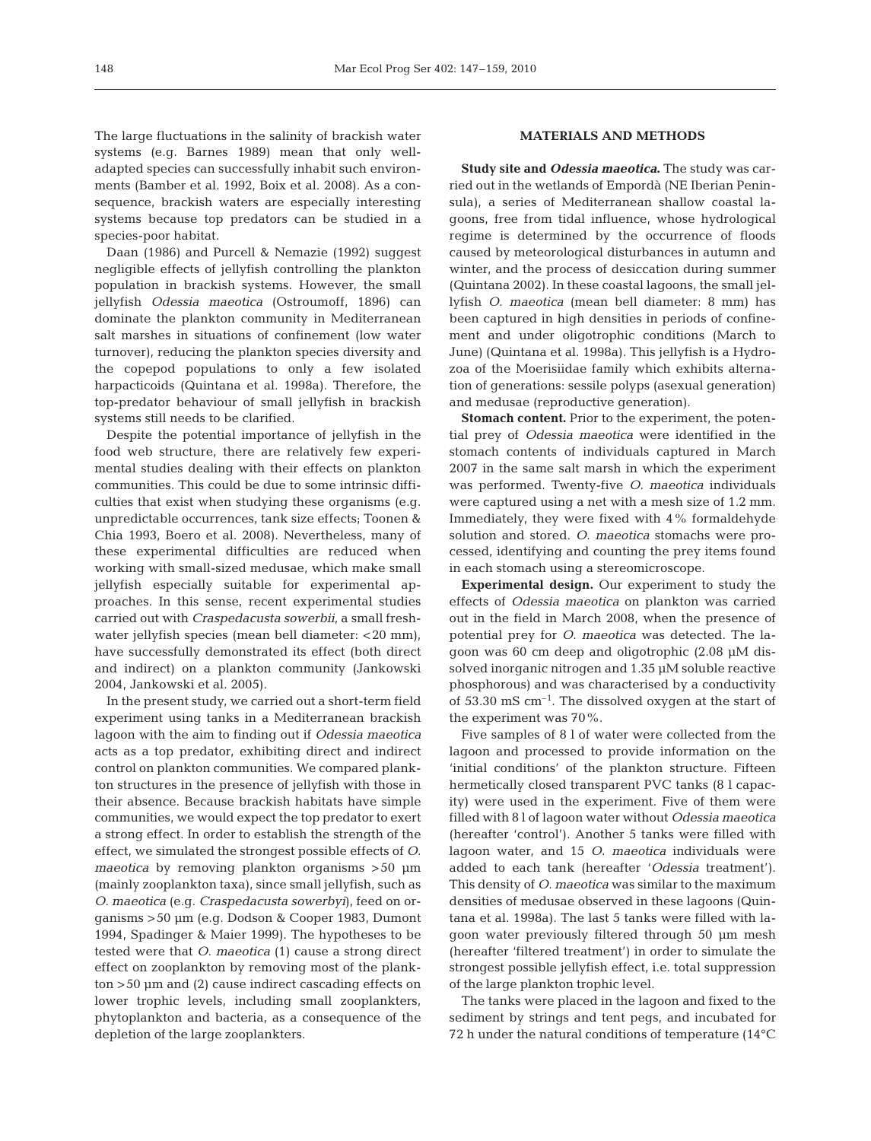The large fluctuations in the salinity of brackish water systems (e.g. Barnes 1989) mean that only welladapted species can successfully inhabit such environments (Bamber et al. 1992, Boix et al. 2008). As a consequence, brackish waters are especially interesting systems because top predators can be studied in a species-poor habitat.

Daan (1986) and Purcell & Nemazie (1992) suggest negligible effects of jellyfish controlling the plankton population in brackish systems. However, the small jellyfish *Odessia maeotica* (Ostroumoff, 1896) can dominate the plankton community in Mediterranean salt marshes in situations of confinement (low water turnover), reducing the plankton species diversity and the copepod populations to only a few isolated harpacticoids (Quintana et al. 1998a). Therefore, the top-predator behaviour of small jellyfish in brackish systems still needs to be clarified.

Despite the potential importance of jellyfish in the food web structure, there are relatively few experimental studies dealing with their effects on plankton communities. This could be due to some intrinsic difficulties that exist when studying these organisms (e.g. unpredictable occurrences, tank size effects; Toonen & Chia 1993, Boero et al. 2008). Nevertheless, many of these experimental difficulties are reduced when working with small-sized medusae, which make small jellyfish especially suitable for experimental approaches. In this sense, recent experimental studies carried out with *Craspedacusta sowerbii*, a small freshwater jellyfish species (mean bell diameter: <20 mm), have successfully demonstrated its effect (both direct and indirect) on a plankton community (Jankowski 2004, Jankowski et al. 2005).

In the present study, we carried out a short-term field experiment using tanks in a Mediterranean brackish lagoon with the aim to finding out if *Odessia maeotica* acts as a top predator, exhibiting direct and indirect control on plankton communities. We compared plankton structures in the presence of jellyfish with those in their absence. Because brackish habitats have simple communities, we would expect the top predator to exert a strong effect. In order to establish the strength of the effect, we simulated the strongest possible effects of *O. maeotica* by removing plankton organisms >50 µm (mainly zooplankton taxa), since small jellyfish, such as *O. maeotica* (e.g. *Craspedacusta sowerbyi*), feed on organisms >50 µm (e.g. Dodson & Cooper 1983, Dumont 1994, Spadinger & Maier 1999). The hypotheses to be tested were that *O. maeotica* (1) cause a strong direct effect on zooplankton by removing most of the plankton >50 µm and (2) cause indirect cascading effects on lower trophic levels, including small zooplankters, phytoplankton and bacteria, as a consequence of the depletion of the large zooplankters.

## **MATERIALS AND METHODS**

**Study site and** *Odessia maeotica***.** The study was carried out in the wetlands of Empordà (NE Iberian Peninsula), a series of Mediterranean shallow coastal lagoons, free from tidal influence, whose hydrological regime is determined by the occurrence of floods caused by meteorological disturbances in autumn and winter, and the process of desiccation during summer (Quintana 2002). In these coastal lagoons, the small jellyfish *O. maeotica* (mean bell diameter: 8 mm) has been captured in high densities in periods of confinement and under oligotrophic conditions (March to June) (Quintana et al. 1998a). This jellyfish is a Hydrozoa of the Moerisiidae family which exhibits alternation of generations: sessile polyps (asexual generation) and medusae (reproductive generation).

**Stomach content.** Prior to the experiment, the potential prey of *Odessia maeotica* were identified in the stomach contents of individuals captured in March 2007 in the same salt marsh in which the experiment was performed. Twenty-five *O. maeotica* individuals were captured using a net with a mesh size of 1.2 mm. Immediately, they were fixed with 4% formaldehyde solution and stored. *O. maeotica* stomachs were processed, identifying and counting the prey items found in each stomach using a stereomicroscope.

**Experimental design.** Our experiment to study the effects of *Odessia maeotica* on plankton was carried out in the field in March 2008, when the presence of potential prey for *O. maeotica* was detected. The lagoon was 60 cm deep and oligotrophic (2.08 µM dissolved inorganic nitrogen and 1.35 µM soluble reactive phosphorous) and was characterised by a conductivity of  $53.30 \text{ mS cm}^{-1}$ . The dissolved oxygen at the start of the experiment was 70%.

Five samples of 8 l of water were collected from the lagoon and processed to provide information on the 'initial conditions' of the plankton structure. Fifteen hermetically closed transparent PVC tanks (8 l capacity) were used in the experiment. Five of them were filled with 8 l of lagoon water without *Odessia maeotica* (hereafter 'control'). Another 5 tanks were filled with lagoon water, and 15 *O. maeotica* individuals were added to each tank (hereafter '*Odessia* treatment'). This density of *O. maeotica* was similar to the maximum densities of medusae observed in these lagoons (Quintana et al. 1998a). The last 5 tanks were filled with lagoon water previously filtered through 50 µm mesh (hereafter 'filtered treatment') in order to simulate the strongest possible jellyfish effect, i.e. total suppression of the large plankton trophic level.

The tanks were placed in the lagoon and fixed to the sediment by strings and tent pegs, and incubated for 72 h under the natural conditions of temperature (14°C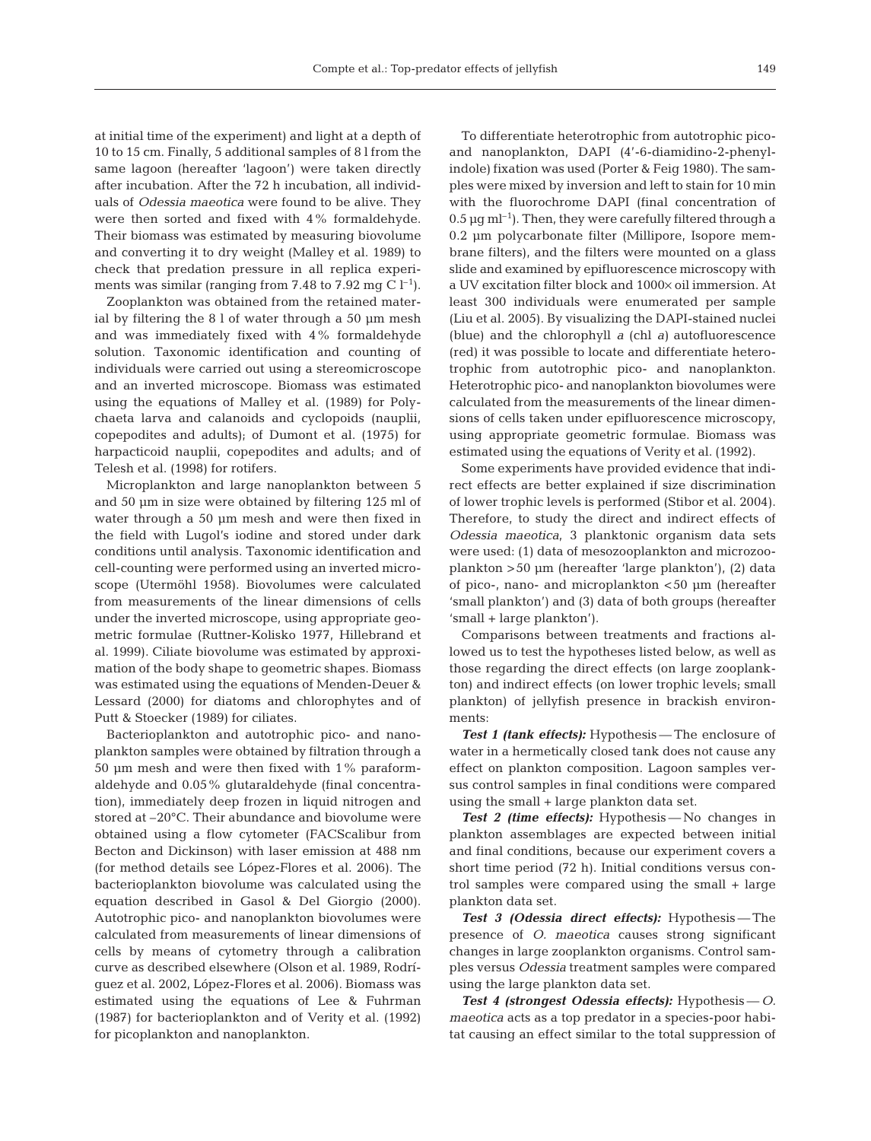at initial time of the experiment) and light at a depth of 10 to 15 cm. Finally, 5 additional samples of 8 l from the same lagoon (hereafter 'lagoon') were taken directly after incubation. After the 72 h incubation, all individuals of *Odessia maeotica* were found to be alive. They were then sorted and fixed with 4% formaldehyde. Their biomass was estimated by measuring biovolume and converting it to dry weight (Malley et al. 1989) to check that predation pressure in all replica experiments was similar (ranging from 7.48 to 7.92 mg C  $l^{-1}$ ).

Zooplankton was obtained from the retained material by filtering the 8 l of water through a 50 µm mesh and was immediately fixed with 4% formaldehyde solution. Taxonomic identification and counting of individuals were carried out using a stereomicroscope and an inverted microscope. Biomass was estimated using the equations of Malley et al. (1989) for Polychaeta larva and calanoids and cyclopoids (nauplii, copepodites and adults); of Dumont et al. (1975) for harpacticoid nauplii, copepodites and adults; and of Telesh et al. (1998) for rotifers.

Microplankton and large nanoplankton between 5 and 50 µm in size were obtained by filtering 125 ml of water through a 50 µm mesh and were then fixed in the field with Lugol's iodine and stored under dark conditions until analysis. Taxonomic identification and cell-counting were performed using an inverted microscope (Utermöhl 1958). Biovolumes were calculated from measurements of the linear dimensions of cells under the inverted microscope, using appropriate geometric formulae (Ruttner-Kolisko 1977, Hillebrand et al. 1999). Ciliate biovolume was estimated by approximation of the body shape to geometric shapes. Biomass was estimated using the equations of Menden-Deuer & Lessard (2000) for diatoms and chlorophytes and of Putt & Stoecker (1989) for ciliates.

Bacterioplankton and autotrophic pico- and nanoplankton samples were obtained by filtration through a 50 µm mesh and were then fixed with 1% paraformaldehyde and 0.05% glutaraldehyde (final concentration), immediately deep frozen in liquid nitrogen and stored at –20°C. Their abundance and biovolume were obtained using a flow cytometer (FACScalibur from Becton and Dickinson) with laser emission at 488 nm (for method details see López-Flores et al. 2006). The bacterioplankton biovolume was calculated using the equation described in Gasol & Del Giorgio (2000). Autotrophic pico- and nanoplankton biovolumes were calculated from measurements of linear dimensions of cells by means of cytometry through a calibration curve as described elsewhere (Olson et al. 1989, Rodríguez et al. 2002, López-Flores et al. 2006). Biomass was estimated using the equations of Lee & Fuhrman (1987) for bacterioplankton and of Verity et al. (1992) for picoplankton and nanoplankton.

To differentiate heterotrophic from autotrophic picoand nanoplankton, DAPI (4'-6-diamidino-2-phenylindole) fixation was used (Porter & Feig 1980). The samples were mixed by inversion and left to stain for 10 min with the fluorochrome DAPI (final concentration of  $0.5 \,\mathrm{\upmu}\mathrm{g\,ml^{-1}}$ ). Then, they were carefully filtered through a 0.2 µm polycarbonate filter (Millipore, Isopore membrane filters), and the filters were mounted on a glass slide and examined by epifluorescence microscopy with a UV excitation filter block and 1000× oil immersion. At least 300 individuals were enumerated per sample (Liu et al. 2005). By visualizing the DAPI-stained nuclei (blue) and the chlorophyll *a* (chl *a)* autofluorescence (red) it was possible to locate and differentiate heterotrophic from autotrophic pico- and nanoplankton. Heterotrophic pico- and nanoplankton biovolumes were calculated from the measurements of the linear dimensions of cells taken under epifluorescence microscopy, using appropriate geometric formulae. Biomass was estimated using the equations of Verity et al. (1992).

Some experiments have provided evidence that indirect effects are better explained if size discrimination of lower trophic levels is performed (Stibor et al. 2004). Therefore, to study the direct and indirect effects of *Odessia maeotica*, 3 planktonic organism data sets were used: (1) data of mesozooplankton and microzooplankton >50 µm (hereafter 'large plankton'), (2) data of pico-, nano- and microplankton <50 µm (hereafter 'small plankton') and (3) data of both groups (hereafter 'small + large plankton').

Comparisons between treatments and fractions allowed us to test the hypotheses listed below, as well as those regarding the direct effects (on large zooplankton) and indirect effects (on lower trophic levels; small plankton) of jellyfish presence in brackish environments:

**Test 1 (tank effects):** Hypothesis - The enclosure of water in a hermetically closed tank does not cause any effect on plankton composition. Lagoon samples versus control samples in final conditions were compared using the small + large plankton data set.

**Test 2 (time effects):** Hypothesis — No changes in plankton assemblages are expected between initial and final conditions, because our experiment covers a short time period (72 h). Initial conditions versus control samples were compared using the small + large plankton data set.

*Test 3 (Odessia direct effects):* Hypothesis — The presence of *O. maeotica* causes strong significant changes in large zooplankton organisms. Control samples versus *Odessia* treatment samples were compared using the large plankton data set.

*Test 4 (strongest Odessia effects):* Hypothesis — *O. maeotica* acts as a top predator in a species-poor habitat causing an effect similar to the total suppression of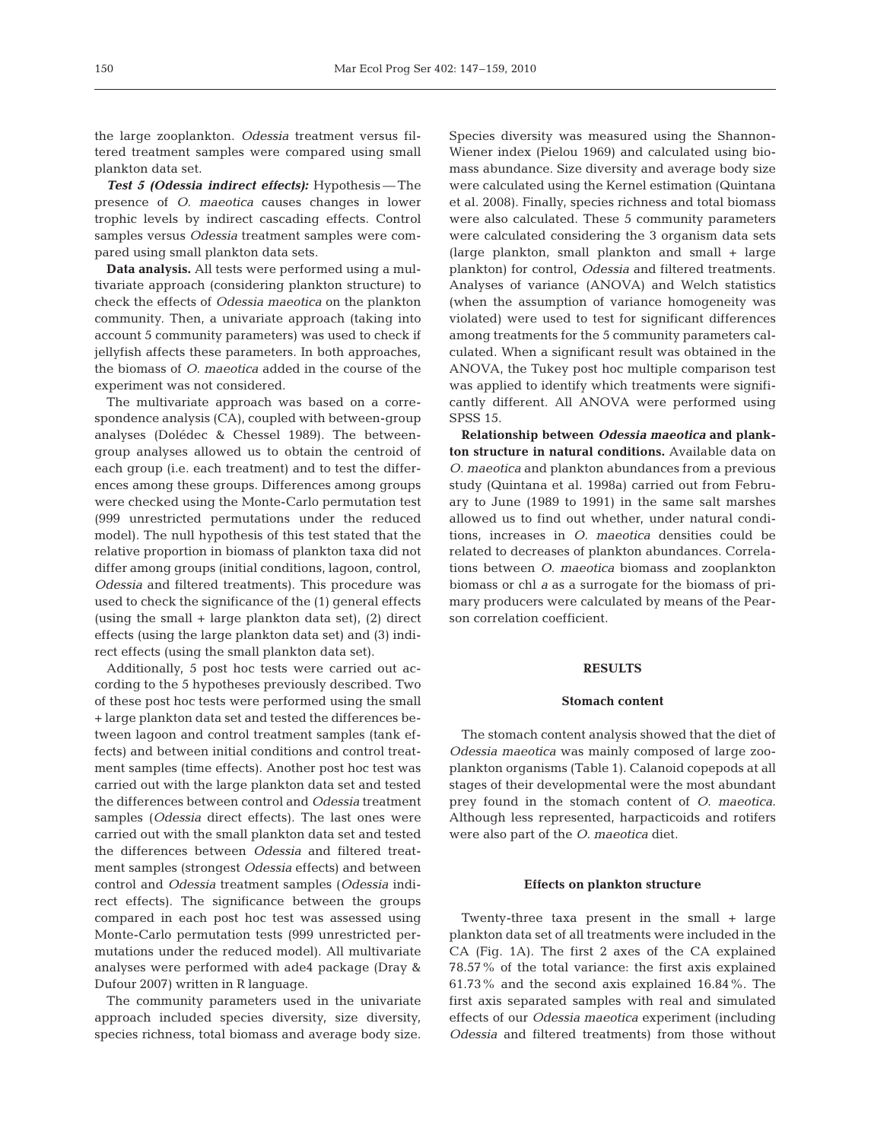the large zooplankton. *Odessia* treatment versus filtered treatment samples were compared using small plankton data set.

*Test 5 (Odessia indirect effects):* Hypothesis — The presence of *O. maeotica* causes changes in lower trophic levels by indirect cascading effects. Control samples versus *Odessia* treatment samples were compared using small plankton data sets.

**Data analysis.** All tests were performed using a multivariate approach (considering plankton structure) to check the effects of *Odessia maeotica* on the plankton community. Then, a univariate approach (taking into account 5 community parameters) was used to check if jellyfish affects these parameters. In both approaches, the biomass of *O. maeotica* added in the course of the experiment was not considered.

The multivariate approach was based on a correspondence analysis (CA), coupled with between-group analyses (Dolédec & Chessel 1989). The betweengroup analyses allowed us to obtain the centroid of each group (i.e. each treatment) and to test the differences among these groups. Differences among groups were checked using the Monte-Carlo permutation test (999 unrestricted permutations under the reduced model). The null hypothesis of this test stated that the relative proportion in biomass of plankton taxa did not differ among groups (initial conditions, lagoon, control, *Odessia* and filtered treatments). This procedure was used to check the significance of the (1) general effects (using the small + large plankton data set), (2) direct effects (using the large plankton data set) and (3) indirect effects (using the small plankton data set).

Additionally, 5 post hoc tests were carried out according to the 5 hypotheses previously described. Two of these post hoc tests were performed using the small + large plankton data set and tested the differences between lagoon and control treatment samples (tank effects) and between initial conditions and control treatment samples (time effects). Another post hoc test was carried out with the large plankton data set and tested the differences between control and *Odessia* treatment samples (*Odessia* direct effects). The last ones were carried out with the small plankton data set and tested the differences between *Odessia* and filtered treatment samples (strongest *Odessia* effects) and between control and *Odessia* treatment samples (*Odessia* indirect effects). The significance between the groups compared in each post hoc test was assessed using Monte-Carlo permutation tests (999 unrestricted permutations under the reduced model). All multivariate analyses were performed with ade4 package (Dray & Dufour 2007) written in R language.

The community parameters used in the univariate approach included species diversity, size diversity, species richness, total biomass and average body size. Species diversity was measured using the Shannon-Wiener index (Pielou 1969) and calculated using biomass abundance. Size diversity and average body size were calculated using the Kernel estimation (Quintana et al. 2008). Finally, species richness and total biomass were also calculated. These 5 community parameters were calculated considering the 3 organism data sets (large plankton, small plankton and small + large plankton) for control, *Odessia* and filtered treatments. Analyses of variance (ANOVA) and Welch statistics (when the assumption of variance homogeneity was violated) were used to test for significant differences among treatments for the 5 community parameters calculated. When a significant result was obtained in the ANOVA, the Tukey post hoc multiple comparison test was applied to identify which treatments were significantly different. All ANOVA were performed using SPSS 15.

**Relationship between** *Odessia maeotica* **and plankton structure in natural conditions.** Available data on *O. maeotica* and plankton abundances from a previous study (Quintana et al. 1998a) carried out from February to June (1989 to 1991) in the same salt marshes allowed us to find out whether, under natural conditions, increases in *O. maeotica* densities could be related to decreases of plankton abundances. Correlations between *O. maeotica* biomass and zooplankton biomass or chl *a* as a surrogate for the biomass of primary producers were calculated by means of the Pearson correlation coefficient.

## **RESULTS**

#### **Stomach content**

The stomach content analysis showed that the diet of *Odessia maeotica* was mainly composed of large zooplankton organisms (Table 1). Calanoid copepods at all stages of their developmental were the most abundant prey found in the stomach content of *O. maeotica*. Although less represented, harpacticoids and rotifers were also part of the *O. maeotica* diet.

#### **Effects on plankton structure**

Twenty-three taxa present in the small + large plankton data set of all treatments were included in the CA (Fig. 1A). The first 2 axes of the CA explained 78.57% of the total variance: the first axis explained 61.73% and the second axis explained 16.84%. The first axis separated samples with real and simulated effects of our *Odessia maeotica* experiment (including *Odessia* and filtered treatments) from those without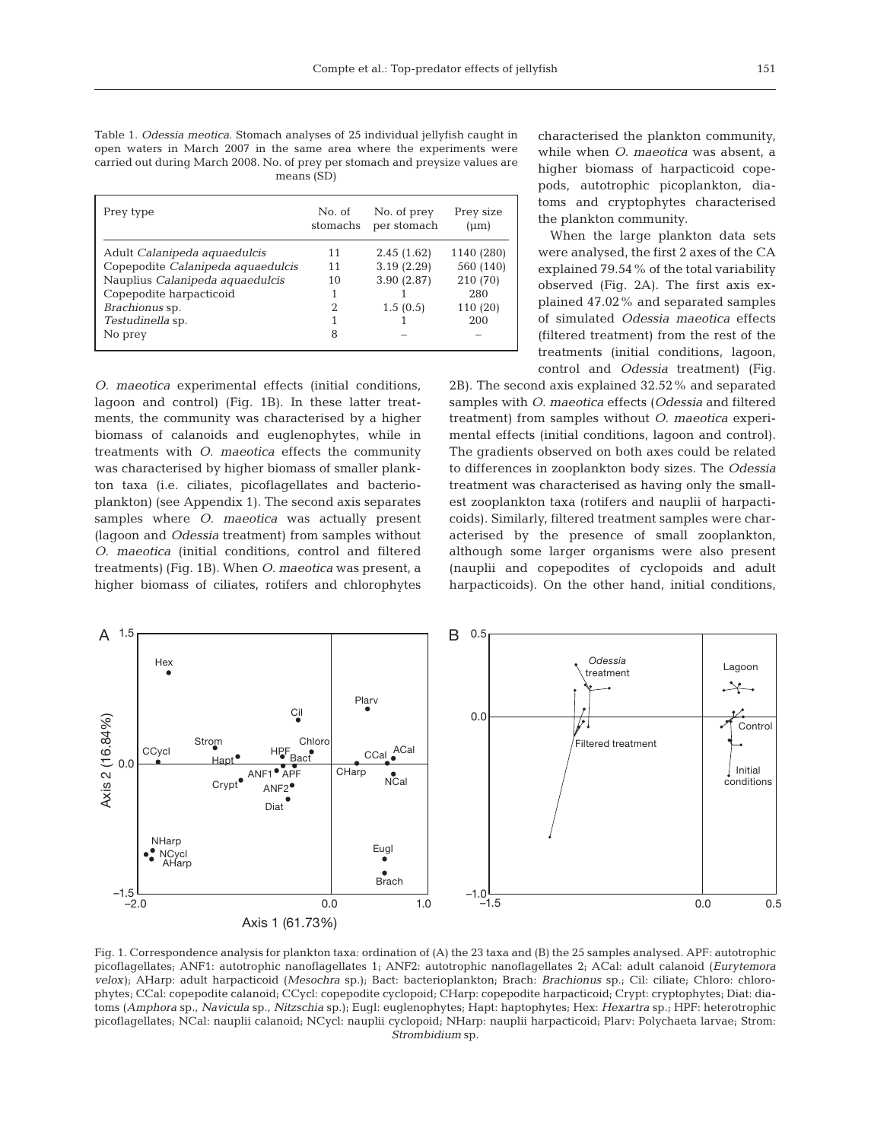Table 1. *Odessia meotica*. Stomach analyses of 25 individual jellyfish caught in open waters in March 2007 in the same area where the experiments were carried out during March 2008. No. of prey per stomach and preysize values are means (SD)

| Prey type                         | No. of<br>stomachs | No. of prey<br>per stomach | Prey size<br>$(\mu m)$ |
|-----------------------------------|--------------------|----------------------------|------------------------|
| Adult Calanipeda aquaedulcis      | 11                 | 2.45(1.62)                 | 1140 (280)             |
| Copepodite Calanipeda aquaedulcis | 11                 | 3.19(2.29)                 | 560 (140)              |
| Nauplius Calanipeda aquaedulcis   | 10                 | 3.90(2.87)                 | 210 (70)               |
| Copepodite harpacticoid           |                    |                            | 280                    |
| Brachionus sp.                    |                    | 1.5(0.5)                   | 110 (20)               |
| Testudinella sp.                  |                    |                            | 200                    |
| No prey                           | 8                  |                            |                        |

*O. maeotica* experimental effects (initial conditions, lagoon and control) (Fig. 1B). In these latter treatments, the community was characterised by a higher biomass of calanoids and euglenophytes, while in treatments with *O. maeotica* effects the community was characterised by higher biomass of smaller plankton taxa (i.e. ciliates, picoflagellates and bacterioplankton) (see Appendix 1). The second axis separates samples where *O. maeotica* was actually present (lagoon and *Odessia* treatment) from samples without *O. maeotica* (initial conditions, control and filtered treatments) (Fig. 1B). When *O. maeotica* was present, a higher biomass of ciliates, rotifers and chlorophytes characterised the plankton community, while when *O. maeotica* was absent, a higher biomass of harpacticoid copepods, autotrophic picoplankton, diatoms and cryptophytes characterised the plankton community.

When the large plankton data sets were analysed, the first 2 axes of the CA explained 79.54% of the total variability observed (Fig. 2A). The first axis explained 47.02% and separated samples of simulated *Odessia maeotica* effects (filtered treatment) from the rest of the treatments (initial conditions, lagoon, control and *Odessia* treatment) (Fig.

2B). The second axis explained 32.52% and separated samples with *O. maeotica* effects (*Odessia* and filtered treatment) from samples without *O. maeotica* experimental effects (initial conditions, lagoon and control). The gradients observed on both axes could be related to differences in zooplankton body sizes. The *Odessia* treatment was characterised as having only the smallest zooplankton taxa (rotifers and nauplii of harpacticoids). Similarly, filtered treatment samples were characterised by the presence of small zooplankton, although some larger organisms were also present (nauplii and copepodites of cyclopoids and adult harpacticoids). On the other hand, initial conditions,



Fig. 1. Correspondence analysis for plankton taxa: ordination of (A) the 23 taxa and (B) the 25 samples analysed. APF: autotrophic picoflagellates; ANF1: autotrophic nanoflagellates 1; ANF2: autotrophic nanoflagellates 2; ACal: adult calanoid (*Eurytemora velox)*; AHarp: adult harpacticoid (*Mesochra* sp.); Bact: bacterioplankton; Brach: *Brachionus* sp.; Cil: ciliate; Chloro: chlorophytes; CCal: copepodite calanoid; CCycl: copepodite cyclopoid; CHarp: copepodite harpacticoid; Crypt: cryptophytes; Diat: diatoms (*Amphora* sp., *Navicula* sp., *Nitzschia* sp.); Eugl: euglenophytes; Hapt: haptophytes; Hex: *Hexartra* sp.; HPF: heterotrophic picoflagellates; NCal: nauplii calanoid; NCycl: nauplii cyclopoid; NHarp: nauplii harpacticoid; Plarv: Polychaeta larvae; Strom: *Strombidium* sp.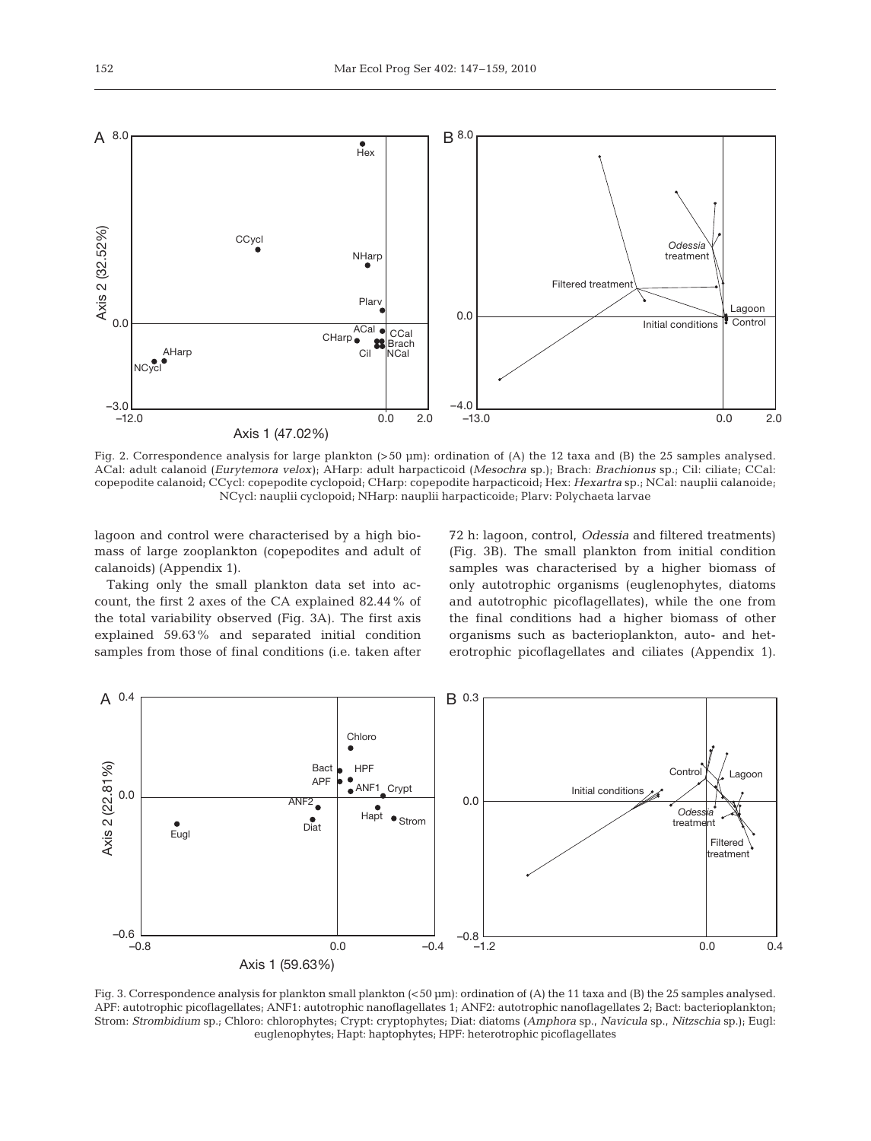

Fig. 2. Correspondence analysis for large plankton (>50 µm): ordination of (A) the 12 taxa and (B) the 25 samples analysed. ACal: adult calanoid (*Eurytemora velox)*; AHarp: adult harpacticoid (*Mesochra* sp.); Brach: *Brachionus* sp.; Cil: ciliate; CCal: copepodite calanoid; CCycl: copepodite cyclopoid; CHarp: copepodite harpacticoid; Hex: *Hexartra* sp.; NCal: nauplii calanoide; NCycl: nauplii cyclopoid; NHarp: nauplii harpacticoide; Plarv: Polychaeta larvae

lagoon and control were characterised by a high biomass of large zooplankton (copepodites and adult of calanoids) (Appendix 1).

Taking only the small plankton data set into account, the first 2 axes of the CA explained 82.44% of the total variability observed (Fig. 3A). The first axis explained 59.63% and separated initial condition samples from those of final conditions (i.e. taken after 72 h: lagoon, control, *Odessia* and filtered treatments) (Fig. 3B). The small plankton from initial condition samples was characterised by a higher biomass of only autotrophic organisms (euglenophytes, diatoms and autotrophic picoflagellates), while the one from the final conditions had a higher biomass of other organisms such as bacterioplankton, auto- and heterotrophic picoflagellates and ciliates (Appendix 1).



Fig. 3. Correspondence analysis for plankton small plankton (<50 µm): ordination of (A) the 11 taxa and (B) the 25 samples analysed. APF: autotrophic picoflagellates; ANF1: autotrophic nanoflagellates 1; ANF2: autotrophic nanoflagellates 2; Bact: bacterioplankton; Strom: *Strombidium* sp.; Chloro: chlorophytes; Crypt: cryptophytes; Diat: diatoms (*Amphora* sp., *Navicula* sp., *Nitzschia* sp.); Eugl: euglenophytes; Hapt: haptophytes; HPF: heterotrophic picoflagellates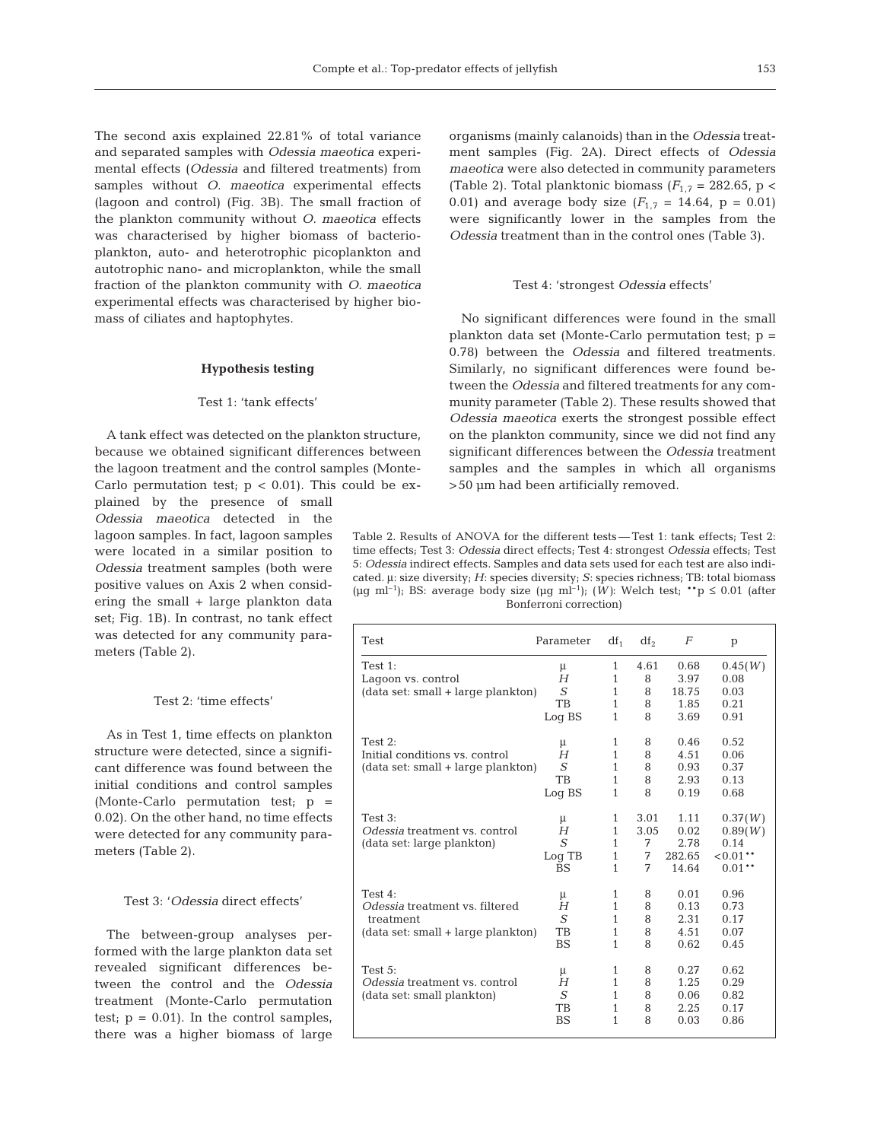The second axis explained 22.81% of total variance and separated samples with *Odessia maeotica* experimental effects (*Odessia* and filtered treatments) from samples without *O. maeotica* experimental effects (lagoon and control) (Fig. 3B). The small fraction of the plankton community without *O. maeotica* effects was characterised by higher biomass of bacterioplankton, auto- and heterotrophic picoplankton and autotrophic nano- and microplankton, while the small fraction of the plankton community with *O. maeotica* experimental effects was characterised by higher biomass of ciliates and haptophytes.

#### **Hypothesis testing**

#### Test 1: 'tank effects'

A tank effect was detected on the plankton structure, because we obtained significant differences between the lagoon treatment and the control samples (Monte-Carlo permutation test;  $p < 0.01$ ). This could be ex-

plained by the presence of small *Odessia maeotica* detected in the lagoon samples. In fact, lagoon samples were located in a similar position to *Odessia* treatment samples (both were positive values on Axis 2 when considering the small + large plankton data set; Fig. 1B). In contrast, no tank effect was detected for any community parameters (Table 2).

## Test 2: 'time effects'

As in Test 1, time effects on plankton structure were detected, since a significant difference was found between the initial conditions and control samples (Monte-Carlo permutation test; p = 0.02). On the other hand, no time effects were detected for any community parameters (Table 2).

#### Test 3: '*Odessia* direct effects'

The between-group analyses performed with the large plankton data set revealed significant differences between the control and the *Odessia* treatment (Monte-Carlo permutation test;  $p = 0.01$ ). In the control samples, there was a higher biomass of large organisms (mainly calanoids) than in the *Odessia* treatment samples (Fig. 2A). Direct effects of *Odessia maeotica* were also detected in community parameters (Table 2). Total planktonic biomass  $(F_{1,7} = 282.65, p <$ 0.01) and average body size  $(F_{1,7} = 14.64, p = 0.01)$ were significantly lower in the samples from the *Odessia* treatment than in the control ones (Table 3).

#### Test 4: 'strongest *Odessia* effects'

No significant differences were found in the small plankton data set (Monte-Carlo permutation test;  $p =$ 0.78) between the *Odessia* and filtered treatments. Similarly, no significant differences were found between the *Odessia* and filtered treatments for any community parameter (Table 2). These results showed that *Odessia maeotica* exerts the strongest possible effect on the plankton community, since we did not find any significant differences between the *Odessia* treatment samples and the samples in which all organisms >50 µm had been artificially removed.

Table 2. Results of ANOVA for the different tests — Test 1: tank effects; Test 2: time effects; Test 3: *Odessia* direct effects; Test 4: strongest *Odessia* effects; Test 5: *Odessia* indirect effects. Samples and data sets used for each test are also indicated. μ: size diversity; *H*: species diversity; *S*: species richness; TB: total biomass (µg ml<sup>-1</sup>); BS: average body size (µg ml<sup>-1</sup>); (W): Welch test; \*\*p  $\leq 0.01$  (after Bonferroni correction)

| <b>Test</b>                        | Parameter | $df_1$       | df <sub>2</sub> | F      | p        |
|------------------------------------|-----------|--------------|-----------------|--------|----------|
| Test 1:                            | μ         | 1            | 4.61            | 0.68   | 0.45(W)  |
| Lagoon vs. control                 | H         | $\mathbf{1}$ | 8               | 3.97   | 0.08     |
| (data set: small + large plankton) | S         | $\mathbf{1}$ | 8               | 18.75  | 0.03     |
|                                    | <b>TB</b> | 1            | 8               | 1.85   | 0.21     |
|                                    | Log BS    | 1            | 8               | 3.69   | 0.91     |
| Test $2:$                          | μ         | 1            | 8               | 0.46   | 0.52     |
| Initial conditions vs. control     | H         | $\mathbf{1}$ | 8               | 4.51   | 0.06     |
| (data set: small + large plankton) | S         | 1            | 8               | 0.93   | 0.37     |
|                                    | <b>TB</b> | 1            | 8               | 2.93   | 0.13     |
|                                    | Log BS    | 1            | 8               | 0.19   | 0.68     |
| Test $3:$                          | μ         | 1            | 3.01            | 1.11   | 0.37(W)  |
| Odessia treatment vs. control      | H         | $\mathbf{1}$ | 3.05            | 0.02   | 0.89(W)  |
| (data set: large plankton)         | S         | 1            | 7               | 2.78   | 0.14     |
|                                    | Log TB    | $\mathbf{1}$ | 7               | 282.65 | $0.01**$ |
|                                    | <b>BS</b> | $\mathbf{1}$ | 7               | 14.64  | $0.01**$ |
| Test $4:$                          | μ         | 1            | 8               | 0.01   | 0.96     |
| Odessia treatment vs. filtered     | H         | 1            | 8               | 0.13   | 0.73     |
| treatment                          | S         | 1            | 8               | 2.31   | 0.17     |
| (data set: small + large plankton) | <b>TB</b> | 1            | 8               | 4.51   | 0.07     |
|                                    | <b>BS</b> | 1            | 8               | 0.62   | 0.45     |
| Test 5:                            | μ         | 1            | 8               | 0.27   | 0.62     |
| Odessia treatment vs. control      | H         | 1            | 8               | 1.25   | 0.29     |
| (data set: small plankton)         | S         | 1            | 8               | 0.06   | 0.82     |
|                                    | TB        | 1            | 8               | 2.25   | 0.17     |
|                                    | <b>BS</b> | 1            | 8               | 0.03   | 0.86     |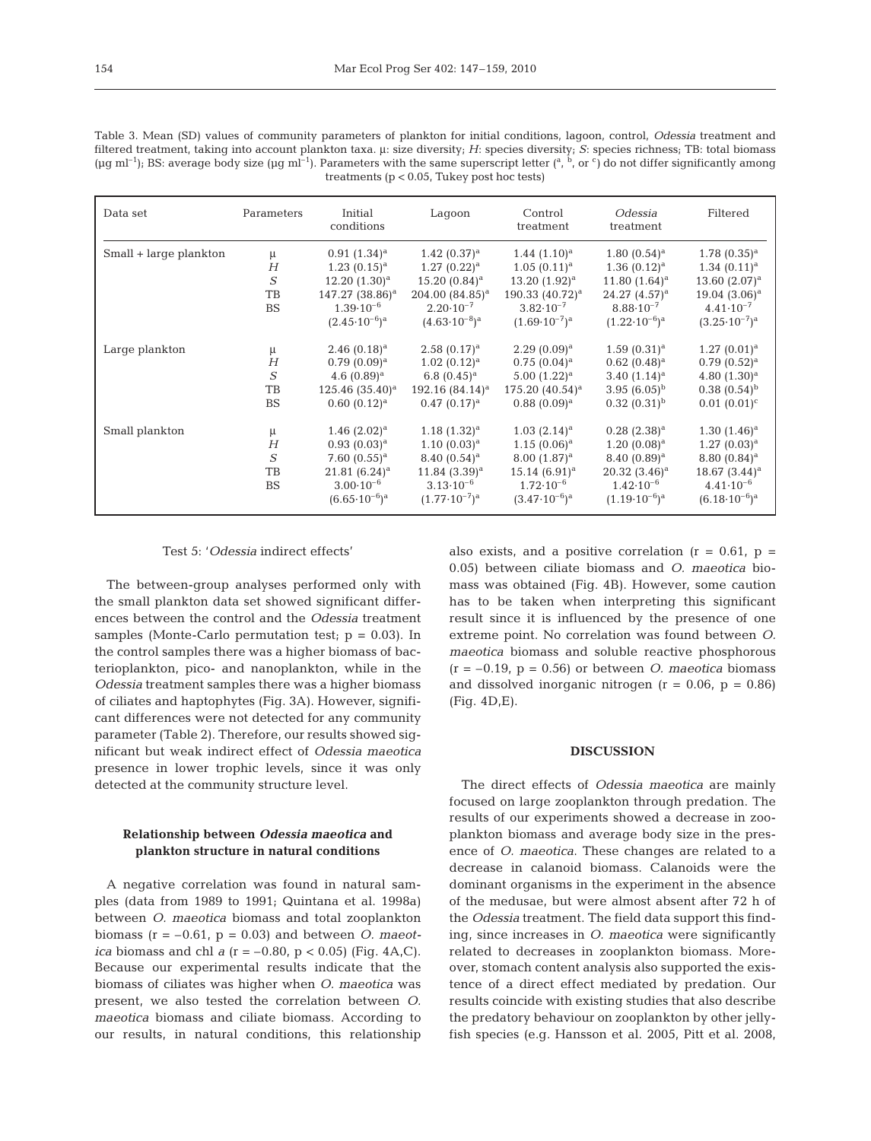| Table 3. Mean (SD) values of community parameters of plankton for initial conditions, lagoon, control, Odessia treatment and                                                                          |
|-------------------------------------------------------------------------------------------------------------------------------------------------------------------------------------------------------|
| filtered treatment, taking into account plankton taxa. µ: size diversity; H: species diversity; S: species richness; TB: total biomass                                                                |
| ( $\mu$ g ml <sup>-1</sup> ); BS: average body size ( $\mu$ g ml <sup>-1</sup> ). Parameters with the same superscript letter ( <sup>a, b</sup> , or <sup>c</sup> ) do not differ significantly among |
| treatments ( $p < 0.05$ , Tukey post hoc tests)                                                                                                                                                       |

| Data set               | Parameters        | Initial<br>conditions       | Lagoon                   | Control<br>treatment     | Odessia<br>treatment     | Filtered                   |
|------------------------|-------------------|-----------------------------|--------------------------|--------------------------|--------------------------|----------------------------|
| Small + large plankton | μ                 | $0.91(1.34)^a$              | $1.42(0.37)^a$           | $1.44$ $(1.10)^a$        | $1.80~(0.54)^a$          | $1.78(0.35)^a$             |
|                        | H                 | $1.23(0.15)^a$              | $1.27 (0.22)^a$          | $1.05(0.11)^a$           | $1.36(0.12)^a$           | $1.34~(0.11)^a$            |
|                        | $\boldsymbol{S}$  | $12.20 (1.30)^a$            | $15.20~(0.84)^a$         | 13.20 $(1.92)^a$         | 11.80 $(1.64)^a$         | 13.60 $(2.07)^a$           |
|                        | TB                | 147.27 (38.86) <sup>a</sup> | $204.00~(84.85)^a$       | 190.33 $(40.72)^a$       | 24.27 $(4.57)^a$         | $19.04(3.06)^a$            |
|                        | <b>BS</b>         | $1.39 \cdot 10^{-6}$        | $2.20 \cdot 10^{-7}$     | $3.82 \cdot 10^{-7}$     | $8.88 \cdot 10^{-7}$     | $4.41 \cdot 10^{-7}$       |
|                        |                   | $(2.45 \cdot 10^{-6})^a$    | $(4.63 \cdot 10^{-8})^a$ | $(1.69 \cdot 10^{-7})^a$ | $(1.22 \cdot 10^{-6})^a$ | $(3.25 \cdot 10^{-7})^a$   |
| Large plankton         | μ                 | $2.46(0.18)^a$              | $2.58(0.17)^a$           | $2.29(0.09)^a$           | $1.59(0.31)^a$           | $1.27 (0.01)^a$            |
|                        | H                 | $0.79(0.09)^a$              | $1.02~(0.12)^a$          | $0.75(0.04)^a$           | $0.62~(0.48)^a$          | $0.79(0.52)^a$             |
|                        | $\mathcal{S}_{0}$ | 4.6 $(0.89)^a$              | 6.8 $(0.45)^a$           | $5.00(1.22)^a$           | 3.40 $(1.14)^a$          | 4.80 $(1.30)^a$            |
|                        | TB                | $125.46(35.40)^a$           | $192.16(84.14)^a$        | $175.20~(40.54)^a$       | 3.95 $(6.05)^{b}$        | $0.38(0.54)^{b}$           |
|                        | <b>BS</b>         | $0.60~(0.12)^a$             | $0.47(0.17)^a$           | $0.88~(0.09)^a$          | $0.32(0.31)^{b}$         | $0.01~(0.01)^c$            |
| Small plankton         | μ                 | $1.46$ $(2.02)^a$           | $1.18(1.32)^a$           | $1.03$ $(2.14)^a$        | $0.28$ $(2.38)^a$        | $1.30(1.46)^a$             |
|                        | H                 | $0.93(0.03)^a$              | $1.10~(0.03)^a$          | $1.15(0.06)^a$           | $1.20~(0.08)^a$          | $1.27(0.03)^a$             |
|                        | S                 | 7.60 $(0.55)^a$             | $8.40~(0.54)^a$          | $8.00(1.87)^a$           | $8.40~(0.89)^a$          | 8.80 $(0.84)$ <sup>a</sup> |
|                        | TB                | $21.81~(6.24)^a$            | $11.84$ $(3.39)^a$       | $15.14~(6.91)^a$         | $20.32(3.46)^a$          | $18.67 (3.44)^a$           |
|                        | <b>BS</b>         | $3.00 \cdot 10^{-6}$        | $3.13 \cdot 10^{-6}$     | $1.72 \cdot 10^{-6}$     | $1.42 \cdot 10^{-6}$     | $4.41 \cdot 10^{-6}$       |
|                        |                   | $(6.65 \cdot 10^{-6})^a$    | $(1.77 \cdot 10^{-7})^a$ | $(3.47 \cdot 10^{-6})^a$ | $(1.19 \cdot 10^{-6})^a$ | $(6.18 \cdot 10^{-6})^a$   |

## Test 5: '*Odessia* indirect effects'

The between-group analyses performed only with the small plankton data set showed significant differences between the control and the *Odessia* treatment samples (Monte-Carlo permutation test;  $p = 0.03$ ). In the control samples there was a higher biomass of bacterioplankton, pico- and nanoplankton, while in the *Odessia* treatment samples there was a higher biomass of ciliates and haptophytes (Fig. 3A). However, significant differences were not detected for any community parameter (Table 2). Therefore, our results showed significant but weak indirect effect of *Odessia maeotica* presence in lower trophic levels, since it was only detected at the community structure level.

## **Relationship between** *Odessia maeotica* **and plankton structure in natural conditions**

A negative correlation was found in natural samples (data from 1989 to 1991; Quintana et al. 1998a) between *O. maeotica* biomass and total zooplankton biomass  $(r = -0.61, p = 0.03)$  and between *O. maeotica* biomass and chl *a* ( $r = -0.80$ ,  $p < 0.05$ ) (Fig. 4A,C). Because our experimental results indicate that the biomass of ciliates was higher when *O. maeotica* was present, we also tested the correlation between *O. maeotica* biomass and ciliate biomass. According to our results, in natural conditions, this relationship also exists, and a positive correlation ( $r = 0.61$ ,  $p =$ 0.05) between ciliate biomass and *O. maeotica* biomass was obtained (Fig. 4B). However, some caution has to be taken when interpreting this significant result since it is influenced by the presence of one extreme point. No correlation was found between *O. maeotica* biomass and soluble reactive phosphorous  $(r = -0.19, p = 0.56)$  or between *O. maeotica* biomass and dissolved inorganic nitrogen  $(r = 0.06, p = 0.86)$ (Fig. 4D,E).

#### **DISCUSSION**

The direct effects of *Odessia maeotica* are mainly focused on large zooplankton through predation. The results of our experiments showed a decrease in zooplankton biomass and average body size in the presence of *O. maeotica*. These changes are related to a decrease in calanoid biomass. Calanoids were the dominant organisms in the experiment in the absence of the medusae, but were almost absent after 72 h of the *Odessia* treatment. The field data support this finding, since increases in *O. maeotica* were significantly related to decreases in zooplankton biomass. Moreover, stomach content analysis also supported the existence of a direct effect mediated by predation. Our results coincide with existing studies that also describe the predatory behaviour on zooplankton by other jellyfish species (e.g. Hansson et al. 2005, Pitt et al. 2008,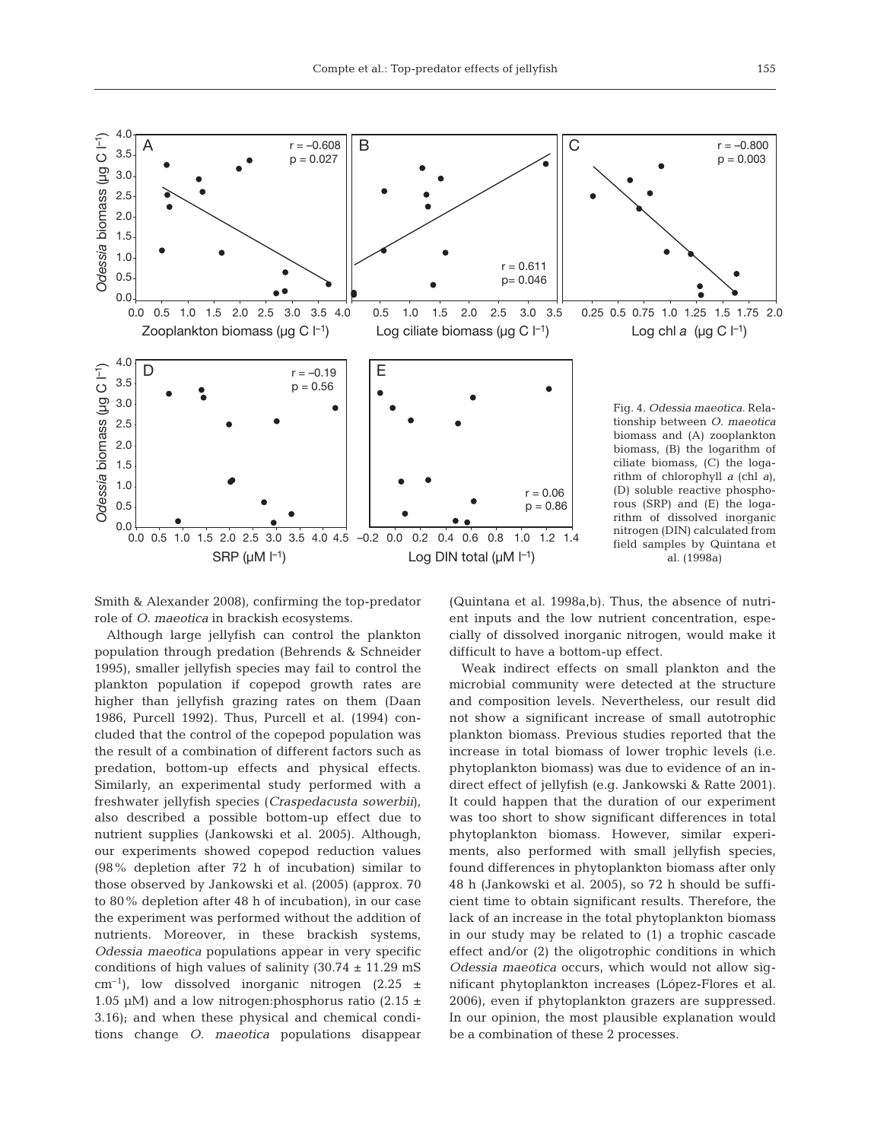

Smith & Alexander 2008), confirming the top-predator role of *O. maeotica* in brackish ecosystems.

Although large jellyfish can control the plankton population through predation (Behrends & Schneider 1995), smaller jellyfish species may fail to control the plankton population if copepod growth rates are higher than jellyfish grazing rates on them (Daan 1986, Purcell 1992). Thus, Purcell et al. (1994) concluded that the control of the copepod population was the result of a combination of different factors such as predation, bottom-up effects and physical effects. Similarly, an experimental study performed with a freshwater jellyfish species (*Craspedacusta sowerbii*), also described a possible bottom-up effect due to nutrient supplies (Jankowski et al. 2005). Although, our experiments showed copepod reduction values (98% depletion after 72 h of incubation) similar to those observed by Jankowski et al. (2005) (approx. 70 to 80% depletion after 48 h of incubation), in our case the experiment was performed without the addition of nutrients. Moreover, in these brackish systems, *Odessia maeotica* populations appear in very specific conditions of high values of salinity  $(30.74 \pm 11.29 \text{ mS})$  $cm^{-1}$ ), low dissolved inorganic nitrogen (2.25  $\pm$ 1.05 µM) and a low nitrogen: phosphorus ratio (2.15  $\pm$ 3.16); and when these physical and chemical conditions change *O. maeotica* populations disappear (Quintana et al. 1998a,b). Thus, the absence of nutrient inputs and the low nutrient concentration, especially of dissolved inorganic nitrogen, would make it difficult to have a bottom-up effect.

Weak indirect effects on small plankton and the microbial community were detected at the structure and composition levels. Nevertheless, our result did not show a significant increase of small autotrophic plankton biomass. Previous studies reported that the increase in total biomass of lower trophic levels (i.e. phytoplankton biomass) was due to evidence of an indirect effect of jellyfish (e.g. Jankowski & Ratte 2001). It could happen that the duration of our experiment was too short to show significant differences in total phytoplankton biomass. However, similar experiments, also performed with small jellyfish species, found differences in phytoplankton biomass after only 48 h (Jankowski et al. 2005), so 72 h should be sufficient time to obtain significant results. Therefore, the lack of an increase in the total phytoplankton biomass in our study may be related to (1) a trophic cascade effect and/or (2) the oligotrophic conditions in which *Odessia maeotica* occurs, which would not allow significant phytoplankton increases (López-Flores et al. 2006), even if phytoplankton grazers are suppressed. In our opinion, the most plausible explanation would be a combination of these 2 processes.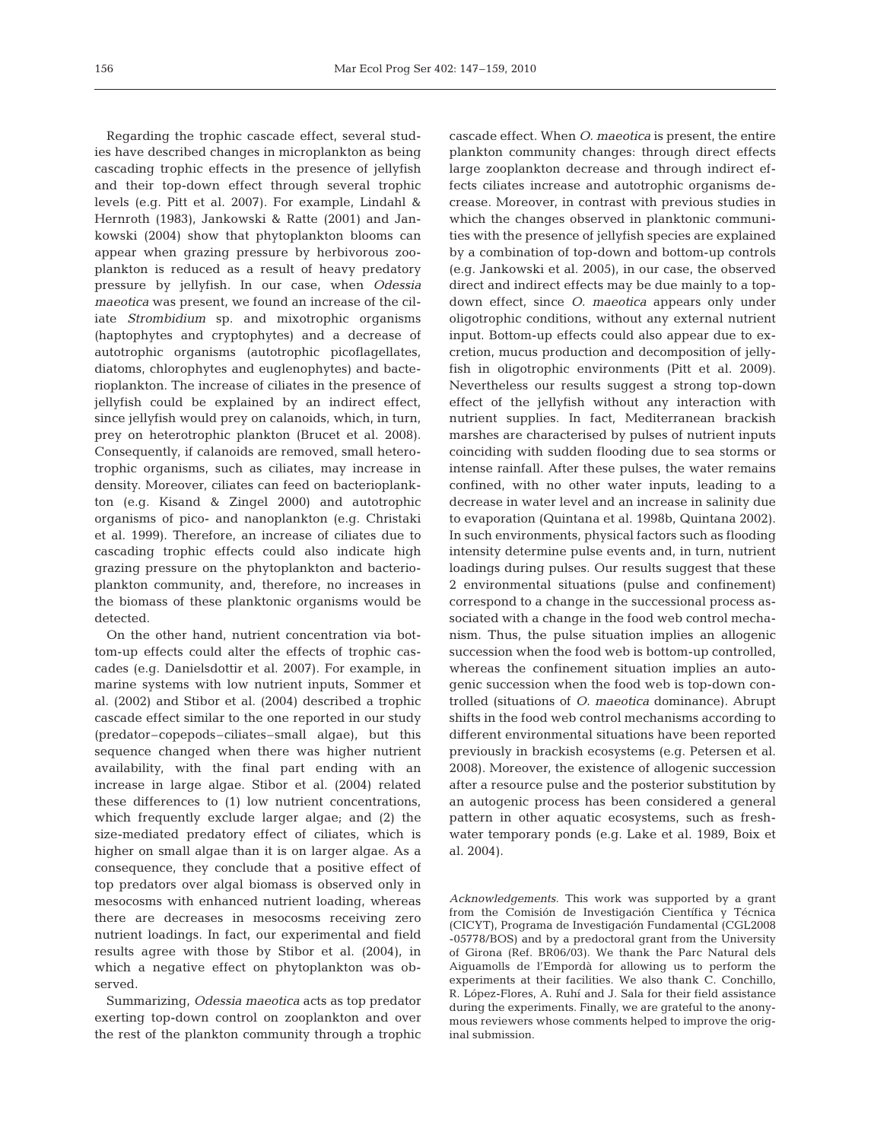Regarding the trophic cascade effect, several studies have described changes in microplankton as being cascading trophic effects in the presence of jellyfish and their top-down effect through several trophic levels (e.g. Pitt et al. 2007). For example, Lindahl & Hernroth (1983), Jankowski & Ratte (2001) and Jankowski (2004) show that phytoplankton blooms can appear when grazing pressure by herbivorous zooplankton is reduced as a result of heavy predatory pressure by jellyfish. In our case, when *Odessia maeotica* was present, we found an increase of the ciliate *Strombidium* sp. and mixotrophic organisms (haptophytes and cryptophytes) and a decrease of autotrophic organisms (autotrophic picoflagellates, diatoms, chlorophytes and euglenophytes) and bacterioplankton. The increase of ciliates in the presence of jellyfish could be explained by an indirect effect, since jellyfish would prey on calanoids, which, in turn, prey on heterotrophic plankton (Brucet et al. 2008). Consequently, if calanoids are removed, small heterotrophic organisms, such as ciliates, may increase in density. Moreover, ciliates can feed on bacterioplankton (e.g. Kisand & Zingel 2000) and autotrophic organisms of pico- and nanoplankton (e.g. Christaki et al. 1999). Therefore, an increase of ciliates due to cascading trophic effects could also indicate high grazing pressure on the phytoplankton and bacterioplankton community, and, therefore, no increases in the biomass of these planktonic organisms would be detected.

On the other hand, nutrient concentration via bottom-up effects could alter the effects of trophic cascades (e.g. Danielsdottir et al. 2007). For example, in marine systems with low nutrient inputs, Sommer et al. (2002) and Stibor et al. (2004) described a trophic cascade effect similar to the one reported in our study (predator–copepods–ciliates–small algae), but this sequence changed when there was higher nutrient availability, with the final part ending with an increase in large algae. Stibor et al. (2004) related these differences to (1) low nutrient concentrations, which frequently exclude larger algae; and (2) the size-mediated predatory effect of ciliates, which is higher on small algae than it is on larger algae. As a consequence, they conclude that a positive effect of top predators over algal biomass is observed only in mesocosms with enhanced nutrient loading, whereas there are decreases in mesocosms receiving zero nutrient loadings. In fact, our experimental and field results agree with those by Stibor et al. (2004), in which a negative effect on phytoplankton was observed.

Summarizing, *Odessia maeotica* acts as top predator exerting top-down control on zooplankton and over the rest of the plankton community through a trophic cascade effect. When *O. maeotica* is present, the entire plankton community changes: through direct effects large zooplankton decrease and through indirect effects ciliates increase and autotrophic organisms decrease. Moreover, in contrast with previous studies in which the changes observed in planktonic communities with the presence of jellyfish species are explained by a combination of top-down and bottom-up controls (e.g. Jankowski et al. 2005), in our case, the observed direct and indirect effects may be due mainly to a topdown effect, since *O. maeotica* appears only under oligotrophic conditions, without any external nutrient input. Bottom-up effects could also appear due to excretion, mucus production and decomposition of jellyfish in oligotrophic environments (Pitt et al. 2009). Nevertheless our results suggest a strong top-down effect of the jellyfish without any interaction with nutrient supplies. In fact, Mediterranean brackish marshes are characterised by pulses of nutrient inputs coinciding with sudden flooding due to sea storms or intense rainfall. After these pulses, the water remains confined, with no other water inputs, leading to a decrease in water level and an increase in salinity due to evaporation (Quintana et al. 1998b, Quintana 2002). In such environments, physical factors such as flooding intensity determine pulse events and, in turn, nutrient loadings during pulses. Our results suggest that these 2 environmental situations (pulse and confinement) correspond to a change in the successional process associated with a change in the food web control mechanism. Thus, the pulse situation implies an allogenic succession when the food web is bottom-up controlled, whereas the confinement situation implies an autogenic succession when the food web is top-down controlled (situations of *O. maeotica* dominance). Abrupt shifts in the food web control mechanisms according to different environmental situations have been reported previously in brackish ecosystems (e.g. Petersen et al. 2008). Moreover, the existence of allogenic succession after a resource pulse and the posterior substitution by an autogenic process has been considered a general pattern in other aquatic ecosystems, such as freshwater temporary ponds (e.g. Lake et al. 1989, Boix et al. 2004).

*Acknowledgements.* This work was supported by a grant from the Comisión de Investigación Científica y Técnica (CICYT), Programa de Investigación Fundamental (CGL2008 -05778/BOS) and by a predoctoral grant from the University of Girona (Ref. BR06/03). We thank the Parc Natural dels Aiguamolls de l'Empordà for allowing us to perform the experiments at their facilities. We also thank C. Conchillo, R. López-Flores, A. Ruhí and J. Sala for their field assistance during the experiments. Finally, we are grateful to the anonymous reviewers whose comments helped to improve the original submission.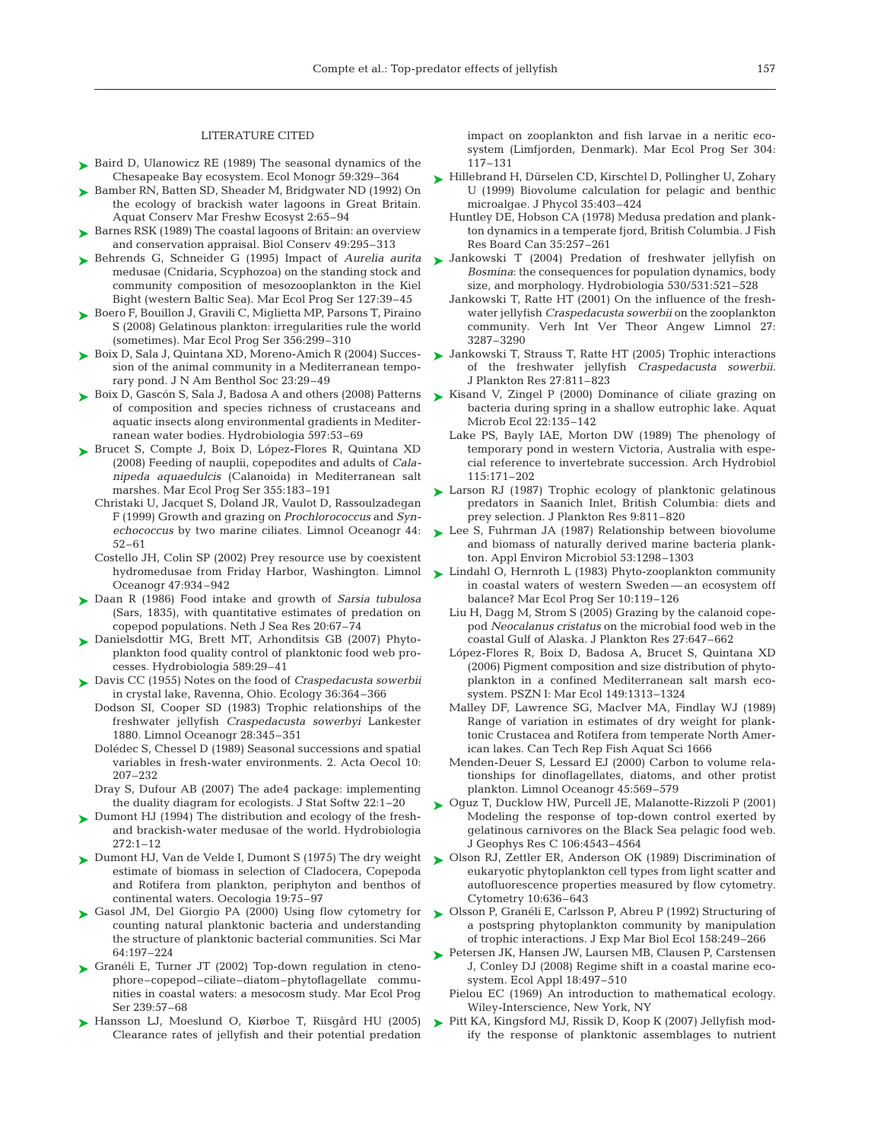#### LITERATURE CITED

- ► Baird D, Ulanowicz RE (1989) The seasonal dynamics of the Chesapeake Bay ecosystem. Ecol Monogr 59:329–364
- ► Bamber RN, Batten SD, Sheader M, Bridgwater ND (1992) On the ecology of brackish water lagoons in Great Britain. Aquat Conserv Mar Freshw Ecosyst 2:65–94
- ► Barnes RSK (1989) The coastal lagoons of Britain: an overview and conservation appraisal. Biol Conserv 49:295–313
- Behrends G, Schneider G (1995) Impact of *Aurelia aurita* ➤ medusae (Cnidaria, Scyphozoa) on the standing stock and community composition of mesozooplankton in the Kiel Bight (western Baltic Sea). Mar Ecol Prog Ser 127:39–45
- ► Boero F, Bouillon J, Gravili C, Miglietta MP, Parsons T, Piraino S (2008) Gelatinous plankton: irregularities rule the world (sometimes). Mar Ecol Prog Ser 356:299–310
- ► Boix D, Sala J, Quintana XD, Moreno-Amich R (2004) Succession of the animal community in a Mediterranean temporary pond. J N Am Benthol Soc 23:29–49
- ► Boix D, Gascón S, Sala J, Badosa A and others (2008) Patterns of composition and species richness of crustaceans and aquatic insects along environmental gradients in Mediterranean water bodies. Hydrobiologia 597:53–69
- ► Brucet S, Compte J, Boix D, López-Flores R, Quintana XD (2008) Feeding of nauplii, copepodites and adults of *Calanipeda aquaedulcis* (Calanoida) in Mediterranean salt marshes. Mar Ecol Prog Ser 355:183–191
	- Christaki U, Jacquet S, Doland JR, Vaulot D, Rassoulzadegan F (1999) Growth and grazing on *Prochlorococcus* and *Synechococcus* by two marine ciliates. Limnol Oceanogr 44: 52–61
	- Costello JH, Colin SP (2002) Prey resource use by coexistent Oceanogr 47:934–942
- Daan R (1986) Food intake and growth of *Sarsia tubulosa* ➤ (Sars, 1835), with quantitative estimates of predation on copepod populations. Neth J Sea Res 20:67–74
- Danielsdottir MG, Brett MT, Arhonditsis GB (2007) Phyto-➤ plankton food quality control of planktonic food web processes. Hydrobiologia 589:29–41
- Davis CC (1955) Notes on the food of *Craspedacusta sowerbii* ➤ in crystal lake, Ravenna, Ohio. Ecology 36:364–366
	- Dodson SI, Cooper SD (1983) Trophic relationships of the freshwater jellyfish *Craspedacusta sowerbyi* Lankester 1880. Limnol Oceanogr 28:345–351
	- Dolédec S, Chessel D (1989) Seasonal successions and spatial variables in fresh-water environments. 2. Acta Oecol 10: 207–232
	- Dray S, Dufour AB (2007) The ade4 package: implementing the duality diagram for ecologists. J Stat Softw 22:1–20
- ► Dumont HJ (1994) The distribution and ecology of the freshand brackish-water medusae of the world. Hydrobiologia 272:1–12
- ► Dumont HJ, Van de Velde I, Dumont S (1975) The dry weight estimate of biomass in selection of Cladocera, Copepoda and Rotifera from plankton, periphyton and benthos of continental waters. Oecologia 19:75–97
- ► Gasol JM, Del Giorgio PA (2000) Using flow cytometry for counting natural planktonic bacteria and understanding the structure of planktonic bacterial communities. Sci Mar 64:197–224
- ► Granéli E, Turner JT (2002) Top-down regulation in ctenophore–copepod–ciliate–diatom–phytoflagellate communities in coastal waters: a mesocosm study. Mar Ecol Prog Ser 239:57–68
- ▶ Hansson LJ, Moeslund O, Kiørboe T, Riisgård HU (2005) Clearance rates of jellyfish and their potential predation

impact on zooplankton and fish larvae in a neritic ecosystem (Limfjorden, Denmark). Mar Ecol Prog Ser 304: 117–131

- ► Hillebrand H, Dürselen CD, Kirschtel D, Pollingher U, Zohary U (1999) Biovolume calculation for pelagic and benthic microalgae. J Phycol 35:403–424
	- Huntley DE, Hobson CA (1978) Medusa predation and plankton dynamics in a temperate fjord, British Columbia. J Fish Res Board Can 35:257–261
- ▶ Jankowski T (2004) Predation of freshwater jellyfish on *Bosmina*: the consequences for population dynamics, body size, and morphology. Hydrobiologia 530/531:521–528
	- Jankowski T, Ratte HT (2001) On the influence of the freshwater jellyfish *Craspedacusta sowerbii* on the zooplankton community. Verh Int Ver Theor Angew Limnol 27: 3287–3290
- ► Jankowski T, Strauss T, Ratte HT (2005) Trophic interactions of the freshwater jellyfish *Craspedacusta sowerbii.* J Plankton Res 27:811–823
- ► Kisand V, Zingel P (2000) Dominance of ciliate grazing on bacteria during spring in a shallow eutrophic lake. Aquat Microb Ecol 22:135–142
	- Lake PS, Bayly IAE, Morton DW (1989) The phenology of temporary pond in western Victoria, Australia with especial reference to invertebrate succession. Arch Hydrobiol 115:171–202
- ► Larson RJ (1987) Trophic ecology of planktonic gelatinous predators in Saanich Inlet, British Columbia: diets and prey selection. J Plankton Res 9:811–820
- ► Lee S, Fuhrman JA (1987) Relationship between biovolume and biomass of naturally derived marine bacteria plankton. Appl Environ Microbiol 53:1298–1303
- hydromedusae from Friday Harbor, Washington. Limnol Lindahl O, Hernroth L (1983) Phyto-zooplankton community ➤ in coastal waters of western Sweden — an ecosystem off balance? Mar Ecol Prog Ser 10:119–126
	- Liu H, Dagg M, Strom S (2005) Grazing by the calanoid copepod *Neocalanus cristatus* on the microbial food web in the coastal Gulf of Alaska. J Plankton Res 27:647–662
	- López-Flores R, Boix D, Badosa A, Brucet S, Quintana XD (2006) Pigment composition and size distribution of phytoplankton in a confined Mediterranean salt marsh ecosystem. PSZN I: Mar Ecol 149:1313–1324
	- Malley DF, Lawrence SG, MacIver MA, Findlay WJ (1989) Range of variation in estimates of dry weight for planktonic Crustacea and Rotifera from temperate North American lakes. Can Tech Rep Fish Aquat Sci 1666
	- Menden-Deuer S, Lessard EJ (2000) Carbon to volume relationships for dinoflagellates, diatoms, and other protist plankton. Limnol Oceanogr 45:569–579
	- ► Oguz T, Ducklow HW, Purcell JE, Malanotte-Rizzoli P (2001) Modeling the response of top-down control exerted by gelatinous carnivores on the Black Sea pelagic food web. J Geophys Res C 106:4543–4564
	- ► Olson RJ, Zettler ER, Anderson OK (1989) Discrimination of eukaryotic phytoplankton cell types from light scatter and autofluorescence properties measured by flow cytometry. Cytometry 10:636–643
	- ► Olsson P, Granéli E, Carlsson P, Abreu P (1992) Structuring of a postspring phytoplankton community by manipulation of trophic interactions. J Exp Mar Biol Ecol 158:249–266
	- Petersen JK, Hansen JW, Laursen MB, Clausen P, Carstensen ➤ J, Conley DJ (2008) Regime shift in a coastal marine ecosystem. Ecol Appl 18:497–510
		- Pielou EC (1969) An introduction to mathematical ecology. Wiley-Interscience, New York, NY
	- Pitt KA, Kingsford MJ, Rissik D, Koop K (2007) Jellyfish modify the response of planktonic assemblages to nutrient ➤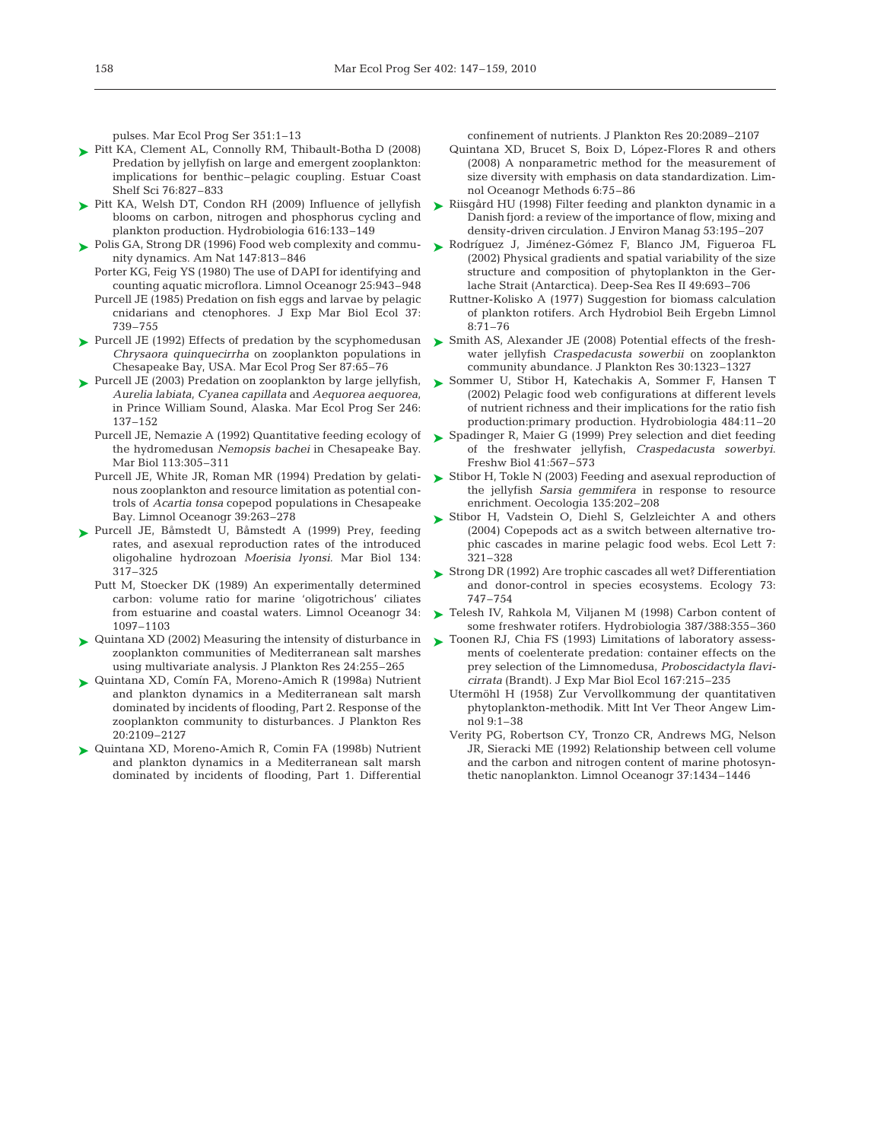pulses. Mar Ecol Prog Ser 351:1–13

- ► Pitt KA, Clement AL, Connolly RM, Thibault-Botha D (2008) Predation by jellyfish on large and emergent zooplankton: implications for benthic–pelagic coupling. Estuar Coast Shelf Sci 76:827–833
- ► Pitt KA, Welsh DT, Condon RH (2009) Influence of jellyfish blooms on carbon, nitrogen and phosphorus cycling and plankton production. Hydrobiologia 616:133–149
- ► Polis GA, Strong DR (1996) Food web complexity and community dynamics. Am Nat 147:813–846
	- Porter KG, Feig YS (1980) The use of DAPI for identifying and counting aquatic microflora. Limnol Oceanogr 25:943–948 Purcell JE (1985) Predation on fish eggs and larvae by pelagic cnidarians and ctenophores. J Exp Mar Biol Ecol 37: 739–755
- ► Purcell JE (1992) Effects of predation by the scyphomedusan *Chrysaora quinquecirrha* on zooplankton populations in Chesapeake Bay, USA. Mar Ecol Prog Ser 87:65–76
- Purcell JE (2003) Predation on zooplankton by large jellyfish, ➤ *Aurelia labiata*, *Cyanea capillata* and *Aequorea aequorea*, in Prince William Sound, Alaska. Mar Ecol Prog Ser 246: 137–152
	- Purcell JE, Nemazie A (1992) Quantitative feeding ecology of the hydromedusan *Nemopsis bachei* in Chesapeake Bay. Mar Biol 113:305–311
	- Purcell JE, White JR, Roman MR (1994) Predation by gelatinous zooplankton and resource limitation as potential controls of *Acartia tonsa* copepod populations in Chesapeake Bay. Limnol Oceanogr 39:263–278
- ▶ Purcell JE, Båmstedt U, Båmstedt A (1999) Prey, feeding rates, and asexual reproduction rates of the introduced oligohaline hydrozoan *Moerisia lyonsi.* Mar Biol 134: 317–325
	- Putt M, Stoecker DK (1989) An experimentally determined carbon: volume ratio for marine 'oligotrichous' ciliates from estuarine and coastal waters. Limnol Oceanogr 34: 1097–1103
- Quintana XD (2002) Measuring the intensity of disturbance in ➤ zooplankton communities of Mediterranean salt marshes using multivariate analysis. J Plankton Res 24:255–265
- ► Quintana XD, Comín FA, Moreno-Amich R (1998a) Nutrient and plankton dynamics in a Mediterranean salt marsh dominated by incidents of flooding, Part 2. Response of the zooplankton community to disturbances. J Plankton Res 20:2109–2127
- Quintana XD, Moreno-Amich R, Comin FA (1998b) Nutrient ➤ and plankton dynamics in a Mediterranean salt marsh dominated by incidents of flooding, Part 1. Differential

confinement of nutrients. J Plankton Res 20:2089–2107

- Quintana XD, Brucet S, Boix D, López-Flores R and others (2008) A nonparametric method for the measurement of size diversity with emphasis on data standardization. Limnol Oceanogr Methods 6:75–86
- ► Riisgård HU (1998) Filter feeding and plankton dynamic in a Danish fjord: a review of the importance of flow, mixing and density-driven circulation. J Environ Manag 53:195–207
- ► Rodríguez J, Jiménez-Gómez F, Blanco JM, Figueroa FL (2002) Physical gradients and spatial variability of the size structure and composition of phytoplankton in the Gerlache Strait (Antarctica). Deep-Sea Res II 49:693–706
	- Ruttner-Kolisko A (1977) Suggestion for biomass calculation of plankton rotifers. Arch Hydrobiol Beih Ergebn Limnol 8:71–76
- ► Smith AS, Alexander JE (2008) Potential effects of the freshwater jellyfish *Craspedacusta sowerbii* on zooplankton community abundance. J Plankton Res 30:1323–1327
- ► Sommer U, Stibor H, Katechakis A, Sommer F, Hansen T (2002) Pelagic food web configurations at different levels of nutrient richness and their implications for the ratio fish production:primary production. Hydrobiologia 484:11–20
- ► Spadinger R, Maier G (1999) Prey selection and diet feeding of the freshwater jellyfish, *Craspedacusta sowerbyi*. Freshw Biol 41:567–573
- ► Stibor H, Tokle N (2003) Feeding and asexual reproduction of the jellyfish *Sarsia gemmifera* in response to resource enrichment. Oecologia 135:202–208
- ► Stibor H, Vadstein O, Diehl S, Gelzleichter A and others (2004) Copepods act as a switch between alternative trophic cascades in marine pelagic food webs. Ecol Lett 7: 321–328
- ► Strong DR (1992) Are trophic cascades all wet? Differentiation and donor-control in species ecosystems. Ecology 73: 747–754
- ▶ Telesh IV, Rahkola M, Viljanen M (1998) Carbon content of some freshwater rotifers. Hydrobiologia 387/388:355–360
- ▶ Toonen RJ, Chia FS (1993) Limitations of laboratory assessments of coelenterate predation: container effects on the prey selection of the Limnomedusa, *Proboscidactyla flavicirrata* (Brandt). J Exp Mar Biol Ecol 167:215–235
	- Utermöhl H (1958) Zur Vervollkommung der quantitativen phytoplankton-methodik. Mitt Int Ver Theor Angew Limnol 9:1–38
	- Verity PG, Robertson CY, Tronzo CR, Andrews MG, Nelson JR, Sieracki ME (1992) Relationship between cell volume and the carbon and nitrogen content of marine photosynthetic nanoplankton. Limnol Oceanogr 37:1434–1446